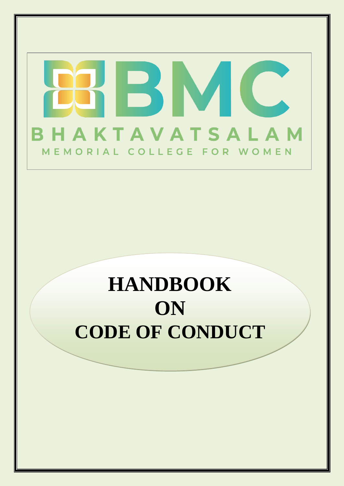# B BHAKTAVATSALAM MEMORIAL COLLEGE FOR WOMEN

# **HANDBOOK ON CODE OF CONDUCT**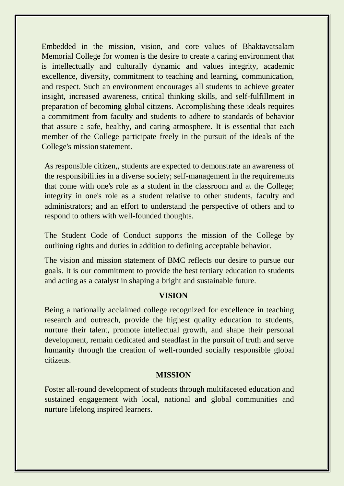Embedded in the mission, vision, and core values of Bhaktavatsalam Memorial College for women is the desire to create a caring environment that is intellectually and culturally dynamic and values integrity, academic excellence, diversity, commitment to teaching and learning, communication, and respect. Such an environment encourages all students to achieve greater insight, increased awareness, critical thinking skills, and self-fulfillment in preparation of becoming global citizens. Accomplishing these ideals requires a commitment from faculty and students to adhere to standards of behavior that assure a safe, healthy, and caring atmosphere. It is essential that each member of the College participate freely in the pursuit of the ideals of the College's mission statement.

As responsible citizen,, students are expected to demonstrate an awareness of the responsibilities in a diverse society; self-management in the requirements that come with one's role as a student in the classroom and at the College; integrity in one's role as a student relative to other students, faculty and administrators; and an effort to understand the perspective of others and to respond to others with well-founded thoughts.

The Student Code of Conduct supports the mission of the College by outlining rights and duties in addition to defining acceptable behavior.

The vision and mission statement of BMC reflects our desire to pursue our goals. It is our commitment to provide the best tertiary education to students and acting as a catalyst in shaping a bright and sustainable future.

#### **VISION**

Being a nationally acclaimed college recognized for excellence in teaching research and outreach, provide the highest quality education to students, nurture their talent, promote intellectual growth, and shape their personal development, remain dedicated and steadfast in the pursuit of truth and serve humanity through the creation of well-rounded socially responsible global citizens.

#### **MISSION**

Foster all-round development of students through multifaceted education and sustained engagement with local, national and global communities and nurture lifelong inspired learners.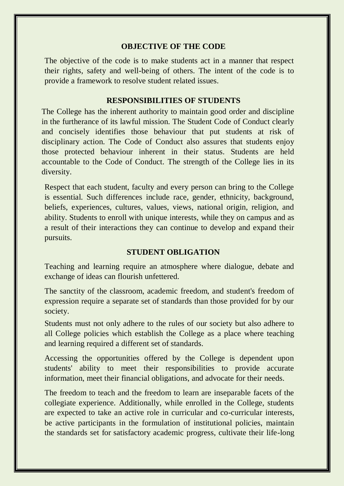#### **OBJECTIVE OF THE CODE**

The objective of the code is to make students act in a manner that respect their rights, safety and well-being of others. The intent of the code is to provide a framework to resolve student related issues.

### **RESPONSIBILITIES OF STUDENTS**

The College has the inherent authority to maintain good order and discipline in the furtherance of its lawful mission. The Student Code of Conduct clearly and concisely identifies those behaviour that put students at risk of disciplinary action. The Code of Conduct also assures that students enjoy those protected behaviour inherent in their status. Students are held accountable to the Code of Conduct. The strength of the College lies in its diversity.

Respect that each student, faculty and every person can bring to the College is essential. Such differences include race, gender, ethnicity, background, beliefs, experiences, cultures, values, views, national origin, religion, and ability. Students to enroll with unique interests, while they on campus and as a result of their interactions they can continue to develop and expand their pursuits.

#### **STUDENT OBLIGATION**

Teaching and learning require an atmosphere where dialogue, debate and exchange of ideas can flourish unfettered.

The sanctity of the classroom, academic freedom, and student's freedom of expression require a separate set of standards than those provided for by our society.

Students must not only adhere to the rules of our society but also adhere to all College policies which establish the College as a place where teaching and learning required a different set of standards.

Accessing the opportunities offered by the College is dependent upon students' ability to meet their responsibilities to provide accurate information, meet their financial obligations, and advocate for their needs.

The freedom to teach and the freedom to learn are inseparable facets of the collegiate experience. Additionally, while enrolled in the College, students are expected to take an active role in curricular and co-curricular interests, be active participants in the formulation of institutional policies, maintain the standards set for satisfactory academic progress, cultivate their life-long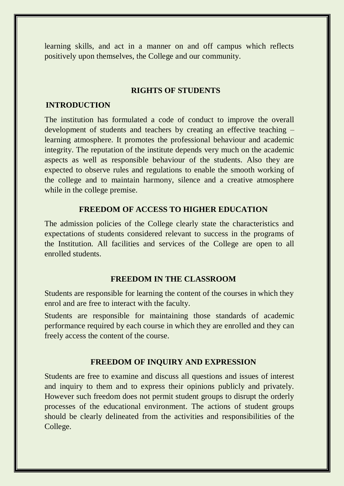learning skills, and act in a manner on and off campus which reflects positively upon themselves, the College and our community.

#### **RIGHTS OF STUDENTS**

# **INTRODUCTION**

The institution has formulated a code of conduct to improve the overall development of students and teachers by creating an effective teaching – learning atmosphere. It promotes the professional behaviour and academic integrity. The reputation of the institute depends very much on the academic aspects as well as responsible behaviour of the students. Also they are expected to observe rules and regulations to enable the smooth working of the college and to maintain harmony, silence and a creative atmosphere while in the college premise.

#### **FREEDOM OF ACCESS TO HIGHER EDUCATION**

The admission policies of the College clearly state the characteristics and expectations of students considered relevant to success in the programs of the Institution. All facilities and services of the College are open to all enrolled students.

#### **FREEDOM IN THE CLASSROOM**

Students are responsible for learning the content of the courses in which they enrol and are free to interact with the faculty.

Students are responsible for maintaining those standards of academic performance required by each course in which they are enrolled and they can freely access the content of the course.

#### **FREEDOM OF INQUIRY AND EXPRESSION**

Students are free to examine and discuss all questions and issues of interest and inquiry to them and to express their opinions publicly and privately. However such freedom does not permit student groups to disrupt the orderly processes of the educational environment. The actions of student groups should be clearly delineated from the activities and responsibilities of the College.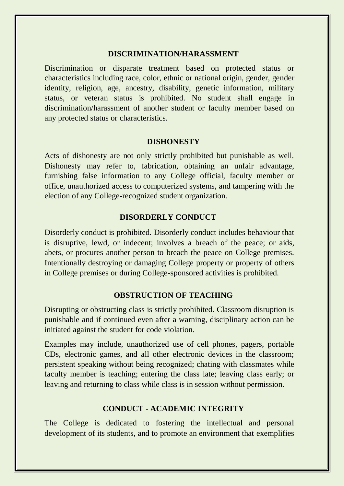#### **DISCRIMINATION/HARASSMENT**

Discrimination or disparate treatment based on protected status or characteristics including race, color, ethnic or national origin, gender, gender identity, religion, age, ancestry, disability, genetic information, military status, or veteran status is prohibited. No student shall engage in discrimination/harassment of another student or faculty member based on any protected status or characteristics.

#### **DISHONESTY**

Acts of dishonesty are not only strictly prohibited but punishable as well. Dishonesty may refer to, fabrication, obtaining an unfair advantage, furnishing false information to any College official, faculty member or office, unauthorized access to computerized systems, and tampering with the election of any College-recognized student organization.

#### **DISORDERLY CONDUCT**

Disorderly conduct is prohibited. Disorderly conduct includes behaviour that is disruptive, lewd, or indecent; involves a breach of the peace; or aids, abets, or procures another person to breach the peace on College premises. Intentionally destroying or damaging College property or property of others in College premises or during College-sponsored activities is prohibited.

# **OBSTRUCTION OF TEACHING**

Disrupting or obstructing class is strictly prohibited. Classroom disruption is punishable and if continued even after a warning, disciplinary action can be initiated against the student for code violation.

Examples may include, unauthorized use of cell phones, pagers, portable CDs, electronic games, and all other electronic devices in the classroom; persistent speaking without being recognized; chating with classmates while faculty member is teaching; entering the class late; leaving class early; or leaving and returning to class while class is in session without permission.

#### **CONDUCT - ACADEMIC INTEGRITY**

The College is dedicated to fostering the intellectual and personal development of its students, and to promote an environment that exemplifies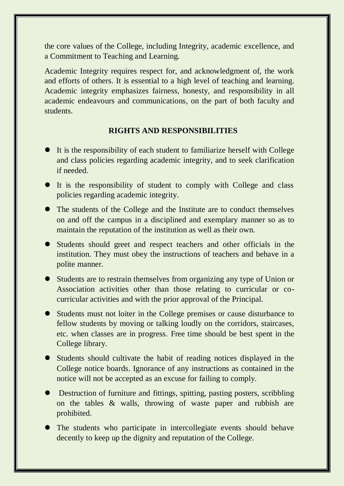the core values of the College, including Integrity, academic excellence, and a Commitment to Teaching and Learning.

Academic Integrity requires respect for, and acknowledgment of, the work and efforts of others. It is essential to a high level of teaching and learning. Academic integrity emphasizes fairness, honesty, and responsibility in all academic endeavours and communications, on the part of both faculty and students.

# **RIGHTS AND RESPONSIBILITIES**

- It is the responsibility of each student to familiarize herself with College and class policies regarding academic integrity, and to seek clarification if needed.
- It is the responsibility of student to comply with College and class policies regarding academic integrity.
- The students of the College and the Institute are to conduct themselves on and off the campus in a disciplined and exemplary manner so as to maintain the reputation of the institution as well as their own.
- Students should greet and respect teachers and other officials in the institution. They must obey the instructions of teachers and behave in a polite manner.
- Students are to restrain themselves from organizing any type of Union or Association activities other than those relating to curricular or cocurricular activities and with the prior approval of the Principal.
- Students must not loiter in the College premises or cause disturbance to fellow students by moving or talking loudly on the corridors, staircases, etc. when classes are in progress. Free time should be best spent in the College library.
- Students should cultivate the habit of reading notices displayed in the College notice boards. Ignorance of any instructions as contained in the notice will not be accepted as an excuse for failing to comply.
- Destruction of furniture and fittings, spitting, pasting posters, scribbling on the tables & walls, throwing of waste paper and rubbish are prohibited.
- The students who participate in intercollegiate events should behave decently to keep up the dignity and reputation of the College.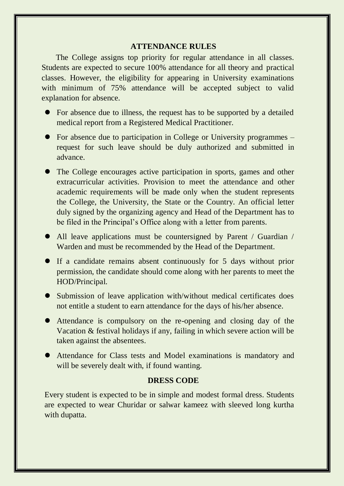#### **ATTENDANCE RULES**

 The College assigns top priority for regular attendance in all classes. Students are expected to secure 100% attendance for all theory and practical classes. However, the eligibility for appearing in University examinations with minimum of 75% attendance will be accepted subject to valid explanation for absence.

- For absence due to illness, the request has to be supported by a detailed medical report from a Registered Medical Practitioner.
- For absence due to participation in College or University programmes request for such leave should be duly authorized and submitted in advance.
- The College encourages active participation in sports, games and other extracurricular activities. Provision to meet the attendance and other academic requirements will be made only when the student represents the College, the University, the State or the Country. An official letter duly signed by the organizing agency and Head of the Department has to be filed in the Principal's Office along with a letter from parents.
- All leave applications must be countersigned by Parent / Guardian / Warden and must be recommended by the Head of the Department.
- If a candidate remains absent continuously for 5 days without prior permission, the candidate should come along with her parents to meet the HOD/Principal.
- Submission of leave application with/without medical certificates does not entitle a student to earn attendance for the days of his/her absence.
- Attendance is compulsory on the re-opening and closing day of the Vacation & festival holidays if any, failing in which severe action will be taken against the absentees.
- Attendance for Class tests and Model examinations is mandatory and will be severely dealt with, if found wanting.

#### **DRESS CODE**

Every student is expected to be in simple and modest formal dress. Students are expected to wear Churidar or salwar kameez with sleeved long kurtha with dupatta.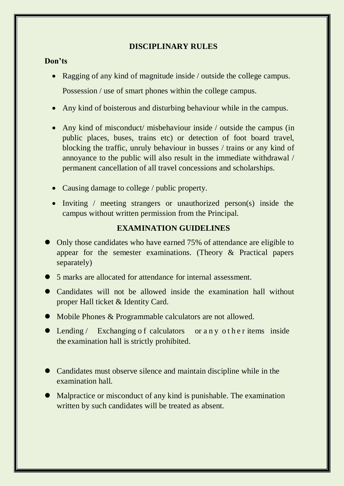# **DISCIPLINARY RULES**

# **Don'ts**

- Ragging of any kind of magnitude inside / outside the college campus. Possession / use of smart phones within the college campus.
- Any kind of boisterous and disturbing behaviour while in the campus.
- Any kind of misconduct/ misbehaviour inside / outside the campus (in public places, buses, trains etc) or detection of foot board travel, blocking the traffic, unruly behaviour in busses / trains or any kind of annoyance to the public will also result in the immediate withdrawal / permanent cancellation of all travel concessions and scholarships.
- Causing damage to college / public property.
- Inviting / meeting strangers or unauthorized person(s) inside the campus without written permission from the Principal.

# **EXAMINATION GUIDELINES**

- Only those candidates who have earned 75% of attendance are eligible to appear for the semester examinations. (Theory & Practical papers separately)
- 5 marks are allocated for attendance for internal assessment.
- Candidates will not be allowed inside the examination hall without proper Hall ticket & Identity Card.
- Mobile Phones & Programmable calculators are not allowed.
- Lending / Exchanging of calculators or a n y other items inside the examination hall is strictly prohibited.
- Candidates must observe silence and maintain discipline while in the examination hall.
- Malpractice or misconduct of any kind is punishable. The examination written by such candidates will be treated as absent.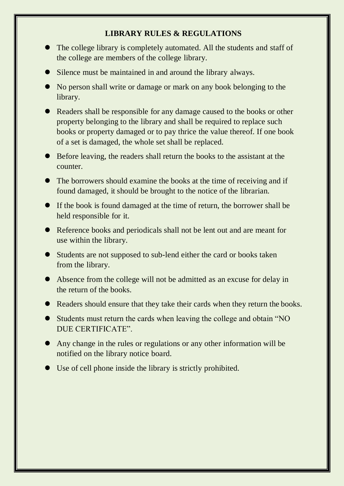# **LIBRARY RULES & REGULATIONS**

- The college library is completely automated. All the students and staff of the college are members of the college library.
- Silence must be maintained in and around the library always.
- No person shall write or damage or mark on any book belonging to the library.
- Readers shall be responsible for any damage caused to the books or other property belonging to the library and shall be required to replace such books or property damaged or to pay thrice the value thereof. If one book of a set is damaged, the whole set shall be replaced.
- Before leaving, the readers shall return the books to the assistant at the counter.
- The borrowers should examine the books at the time of receiving and if found damaged, it should be brought to the notice of the librarian.
- If the book is found damaged at the time of return, the borrower shall be held responsible for it.
- Reference books and periodicals shall not be lent out and are meant for use within the library.
- Students are not supposed to sub-lend either the card or books taken from the library.
- Absence from the college will not be admitted as an excuse for delay in the return of the books.
- Readers should ensure that they take their cards when they return the books.
- Students must return the cards when leaving the college and obtain "NO DUE CERTIFICATE".
- Any change in the rules or regulations or any other information will be notified on the library notice board.
- Use of cell phone inside the library is strictly prohibited.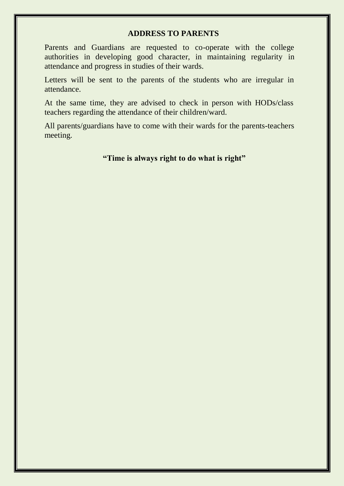#### **ADDRESS TO PARENTS**

Parents and Guardians are requested to co-operate with the college authorities in developing good character, in maintaining regularity in attendance and progress in studies of their wards.

Letters will be sent to the parents of the students who are irregular in attendance.

At the same time, they are advised to check in person with HODs/class teachers regarding the attendance of their children/ward.

All parents/guardians have to come with their wards for the parents-teachers meeting.

# **"Time is always right to do what is right"**